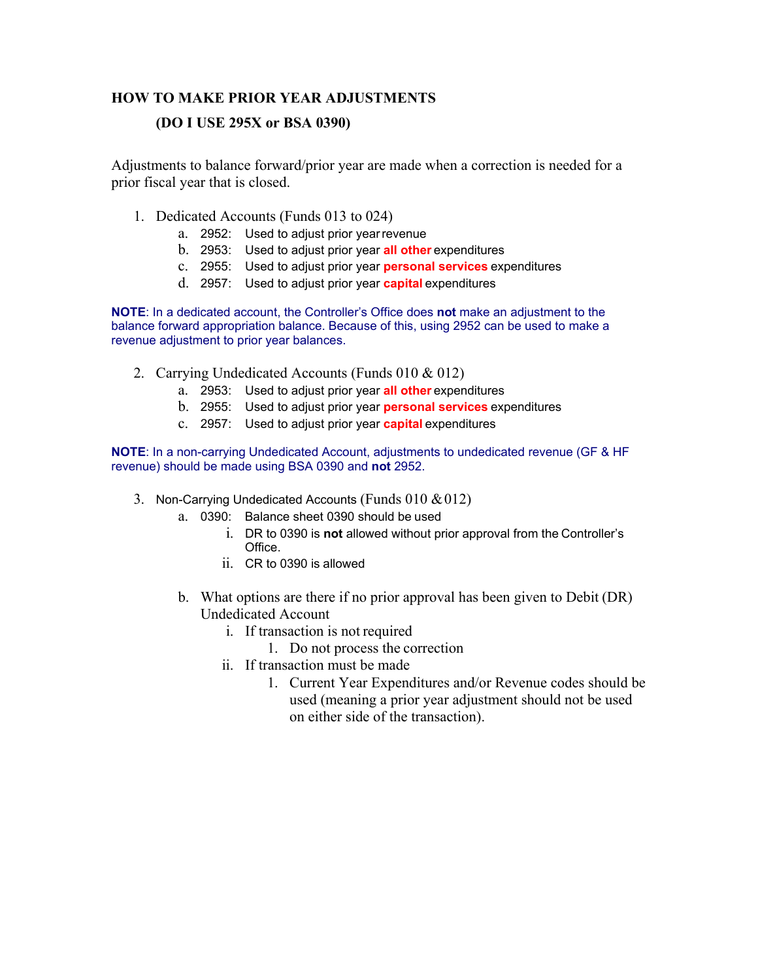## **HOW TO MAKE PRIOR YEAR ADJUSTMENTS**

## **(DO I USE 295X or BSA 0390)**

Adjustments to balance forward/prior year are made when a correction is needed for a prior fiscal year that is closed.

- 1. Dedicated Accounts (Funds 013 to 024)
	- a. 2952: Used to adjust prior year revenue
	- b. 2953: Used to adjust prior year **all other** expenditures
	- c. 2955: Used to adjust prior year **personal services** expenditures
	- d. 2957: Used to adjust prior year **capital** expenditures

**NOTE**: In a dedicated account, the Controller's Office does **not** make an adjustment to the balance forward appropriation balance. Because of this, using 2952 can be used to make a revenue adjustment to prior year balances.

- 2. Carrying Undedicated Accounts (Funds 010 & 012)
	- a. 2953: Used to adjust prior year **all other** expenditures
	- b. 2955: Used to adjust prior year **personal services** expenditures
	- c. 2957: Used to adjust prior year **capital** expenditures

**NOTE**: In a non-carrying Undedicated Account, adjustments to undedicated revenue (GF & HF revenue) should be made using BSA 0390 and **not** 2952.

- 3. Non-Carrying Undedicated Accounts (Funds  $010 \& 012$ )
	- a. 0390: Balance sheet 0390 should be used
		- i. DR to 0390 is **not** allowed without prior approval from the Controller's Office.
		- ii. CR to 0390 is allowed
	- b. What options are there if no prior approval has been given to Debit (DR) Undedicated Account
		- i. If transaction is not required
			- 1. Do not process the correction
		- ii. If transaction must be made
			- 1. Current Year Expenditures and/or Revenue codes should be used (meaning a prior year adjustment should not be used on either side of the transaction).